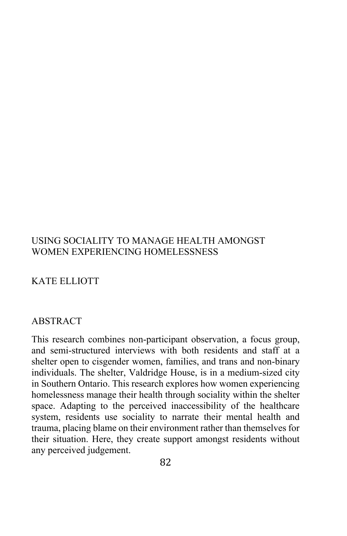### USING SOCIALITY TO MANAGE HEALTH AMONGST WOMEN EXPERIENCING HOMELESSNESS

# KATE ELLIOTT

#### ABSTRACT

This research combines non-participant observation, a focus group, and semi-structured interviews with both residents and staff at a shelter open to cisgender women, families, and trans and non-binary individuals. The shelter, Valdridge House, is in a medium-sized city in Southern Ontario. This research explores how women experiencing homelessness manage their health through sociality within the shelter space. Adapting to the perceived inaccessibility of the healthcare system, residents use sociality to narrate their mental health and trauma, placing blame on their environment rather than themselves for their situation. Here, they create support amongst residents without any perceived judgement.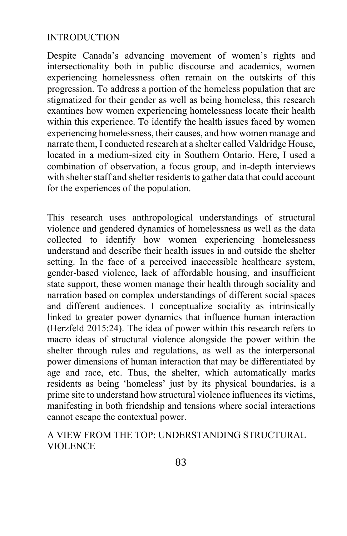### INTRODUCTION

Despite Canada's advancing movement of women's rights and intersectionality both in public discourse and academics, women experiencing homelessness often remain on the outskirts of this progression. To address a portion of the homeless population that are stigmatized for their gender as well as being homeless, this research examines how women experiencing homelessness locate their health within this experience. To identify the health issues faced by women experiencing homelessness, their causes, and how women manage and narrate them, I conducted research at a shelter called Valdridge House, located in a medium-sized city in Southern Ontario. Here, I used a combination of observation, a focus group, and in-depth interviews with shelter staff and shelter residents to gather data that could account for the experiences of the population.

This research uses anthropological understandings of structural violence and gendered dynamics of homelessness as well as the data collected to identify how women experiencing homelessness understand and describe their health issues in and outside the shelter setting. In the face of a perceived inaccessible healthcare system, gender-based violence, lack of affordable housing, and insufficient state support, these women manage their health through sociality and narration based on complex understandings of different social spaces and different audiences. I conceptualize sociality as intrinsically linked to greater power dynamics that influence human interaction (Herzfeld 2015:24). The idea of power within this research refers to macro ideas of structural violence alongside the power within the shelter through rules and regulations, as well as the interpersonal power dimensions of human interaction that may be differentiated by age and race, etc. Thus, the shelter, which automatically marks residents as being 'homeless' just by its physical boundaries, is a prime site to understand how structural violence influences its victims, manifesting in both friendship and tensions where social interactions cannot escape the contextual power.

# A VIEW FROM THE TOP: UNDERSTANDING STRUCTURAL VIOLENCE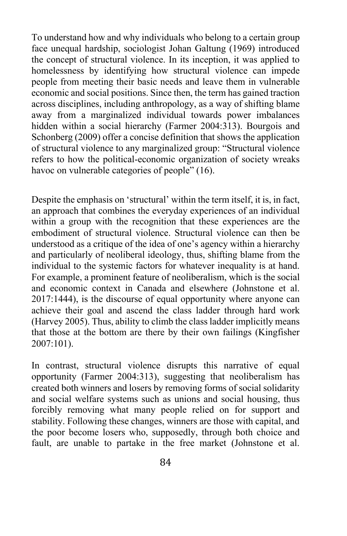To understand how and why individuals who belong to a certain group face unequal hardship, sociologist Johan Galtung (1969) introduced the concept of structural violence. In its inception, it was applied to homelessness by identifying how structural violence can impede people from meeting their basic needs and leave them in vulnerable economic and social positions. Since then, the term has gained traction across disciplines, including anthropology, as a way of shifting blame away from a marginalized individual towards power imbalances hidden within a social hierarchy (Farmer 2004:313). Bourgois and Schonberg (2009) offer a concise definition that shows the application of structural violence to any marginalized group: "Structural violence refers to how the political-economic organization of society wreaks havoc on vulnerable categories of people" (16).

Despite the emphasis on 'structural' within the term itself, it is, in fact, an approach that combines the everyday experiences of an individual within a group with the recognition that these experiences are the embodiment of structural violence. Structural violence can then be understood as a critique of the idea of one's agency within a hierarchy and particularly of neoliberal ideology, thus, shifting blame from the individual to the systemic factors for whatever inequality is at hand. For example, a prominent feature of neoliberalism, which is the social and economic context in Canada and elsewhere (Johnstone et al. 2017:1444), is the discourse of equal opportunity where anyone can achieve their goal and ascend the class ladder through hard work (Harvey 2005). Thus, ability to climb the class ladder implicitly means that those at the bottom are there by their own failings (Kingfisher 2007:101).

In contrast, structural violence disrupts this narrative of equal opportunity (Farmer 2004:313), suggesting that neoliberalism has created both winners and losers by removing forms of social solidarity and social welfare systems such as unions and social housing, thus forcibly removing what many people relied on for support and stability. Following these changes, winners are those with capital, and the poor become losers who, supposedly, through both choice and fault, are unable to partake in the free market (Johnstone et al.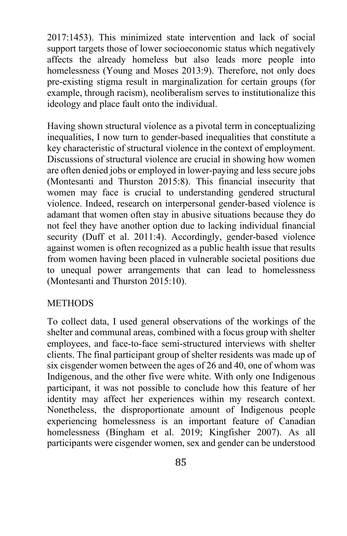2017:1453). This minimized state intervention and lack of social support targets those of lower socioeconomic status which negatively affects the already homeless but also leads more people into homelessness (Young and Moses 2013:9). Therefore, not only does pre-existing stigma result in marginalization for certain groups (for example, through racism), neoliberalism serves to institutionalize this ideology and place fault onto the individual.

Having shown structural violence as a pivotal term in conceptualizing inequalities, I now turn to gender-based inequalities that constitute a key characteristic of structural violence in the context of employment. Discussions of structural violence are crucial in showing how women are often denied jobs or employed in lower-paying and less secure jobs (Montesanti and Thurston 2015:8). This financial insecurity that women may face is crucial to understanding gendered structural violence. Indeed, research on interpersonal gender-based violence is adamant that women often stay in abusive situations because they do not feel they have another option due to lacking individual financial security (Duff et al. 2011:4). Accordingly, gender-based violence against women is often recognized as a public health issue that results from women having been placed in vulnerable societal positions due to unequal power arrangements that can lead to homelessness (Montesanti and Thurston 2015:10).

#### **METHODS**

To collect data, I used general observations of the workings of the shelter and communal areas, combined with a focus group with shelter employees, and face-to-face semi-structured interviews with shelter clients. The final participant group of shelter residents was made up of six cisgender women between the ages of 26 and 40, one of whom was Indigenous, and the other five were white. With only one Indigenous participant, it was not possible to conclude how this feature of her identity may affect her experiences within my research context. Nonetheless, the disproportionate amount of Indigenous people experiencing homelessness is an important feature of Canadian homelessness (Bingham et al. 2019; Kingfisher 2007). As all participants were cisgender women, sex and gender can be understood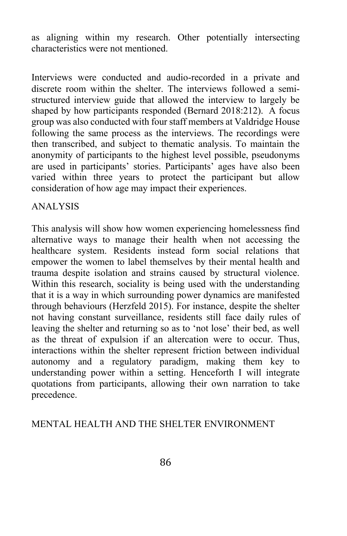as aligning within my research. Other potentially intersecting characteristics were not mentioned.

Interviews were conducted and audio-recorded in a private and discrete room within the shelter. The interviews followed a semistructured interview guide that allowed the interview to largely be shaped by how participants responded (Bernard 2018:212). A focus group was also conducted with four staff members at Valdridge House following the same process as the interviews. The recordings were then transcribed, and subject to thematic analysis. To maintain the anonymity of participants to the highest level possible, pseudonyms are used in participants' stories. Participants' ages have also been varied within three years to protect the participant but allow consideration of how age may impact their experiences.

### ANALYSIS

This analysis will show how women experiencing homelessness find alternative ways to manage their health when not accessing the healthcare system. Residents instead form social relations that empower the women to label themselves by their mental health and trauma despite isolation and strains caused by structural violence. Within this research, sociality is being used with the understanding that it is a way in which surrounding power dynamics are manifested through behaviours (Herzfeld 2015). For instance, despite the shelter not having constant surveillance, residents still face daily rules of leaving the shelter and returning so as to 'not lose' their bed, as well as the threat of expulsion if an altercation were to occur. Thus, interactions within the shelter represent friction between individual autonomy and a regulatory paradigm, making them key to understanding power within a setting. Henceforth I will integrate quotations from participants, allowing their own narration to take precedence.

# MENTAL HEALTH AND THE SHELTER ENVIRONMENT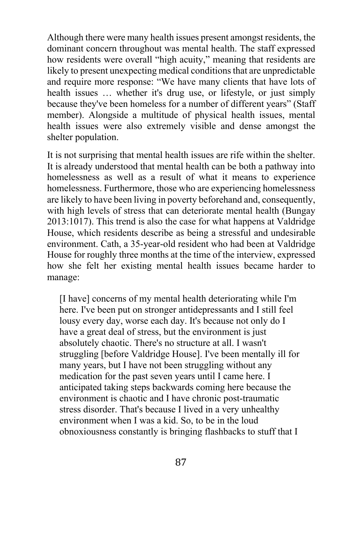Although there were many health issues present amongst residents, the dominant concern throughout was mental health. The staff expressed how residents were overall "high acuity," meaning that residents are likely to present unexpecting medical conditions that are unpredictable and require more response: "We have many clients that have lots of health issues … whether it's drug use, or lifestyle, or just simply because they've been homeless for a number of different years" (Staff member). Alongside a multitude of physical health issues, mental health issues were also extremely visible and dense amongst the shelter population.

It is not surprising that mental health issues are rife within the shelter. It is already understood that mental health can be both a pathway into homelessness as well as a result of what it means to experience homelessness. Furthermore, those who are experiencing homelessness are likely to have been living in poverty beforehand and, consequently, with high levels of stress that can deteriorate mental health (Bungay 2013:1017). This trend is also the case for what happens at Valdridge House, which residents describe as being a stressful and undesirable environment. Cath, a 35-year-old resident who had been at Valdridge House for roughly three months at the time of the interview, expressed how she felt her existing mental health issues became harder to manage:

[I have] concerns of my mental health deteriorating while I'm here. I've been put on stronger antidepressants and I still feel lousy every day, worse each day. It's because not only do I have a great deal of stress, but the environment is just absolutely chaotic. There's no structure at all. I wasn't struggling [before Valdridge House]. I've been mentally ill for many years, but I have not been struggling without any medication for the past seven years until I came here. I anticipated taking steps backwards coming here because the environment is chaotic and I have chronic post-traumatic stress disorder. That's because I lived in a very unhealthy environment when I was a kid. So, to be in the loud obnoxiousness constantly is bringing flashbacks to stuff that I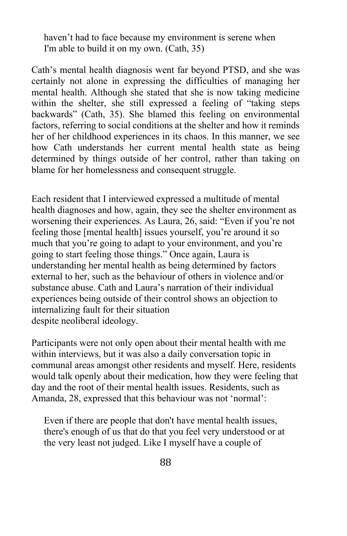haven't had to face because my environment is serene when I'm able to build it on my own. (Cath, 35)

Cath's mental health diagnosis went far beyond PTSD, and she was certainly not alone in expressing the difficulties of managing her mental health. Although she stated that she is now taking medicine within the shelter, she still expressed a feeling of "taking steps backwards" (Cath, 35). She blamed this feeling on environmental factors, referring to social conditions at the shelter and how it reminds her of her childhood experiences in its chaos. In this manner, we see how Cath understands her current mental health state as being determined by things outside of her control, rather than taking on blame for her homelessness and consequent struggle.

Each resident that I interviewed expressed a multitude of mental health diagnoses and how, again, they see the shelter environment as worsening their experiences. As Laura, 26, said: "Even if you're not feeling those [mental health] issues yourself, you're around it so much that you're going to adapt to your environment, and you're going to start feeling those things." Once again, Laura is understanding her mental health as being determined by factors external to her, such as the behaviour of others in violence and/or substance abuse. Cath and Laura's narration of their individual experiences being outside of their control shows an objection to internalizing fault for their situation despite neoliberal ideology.

Participants were not only open about their mental health with me within interviews, but it was also a daily conversation topic in communal areas amongst other residents and myself. Here, residents would talk openly about their medication, how they were feeling that day and the root of their mental health issues. Residents, such as Amanda, 28, expressed that this behaviour was not 'normal':

Even if there are people that don't have mental health issues, there's enough of us that do that you feel very understood or at the very least not judged. Like I myself have a couple of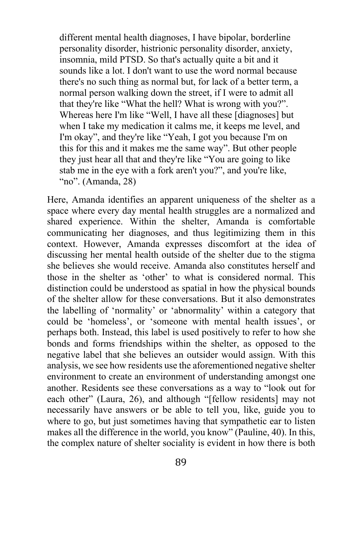different mental health diagnoses, I have bipolar, borderline personality disorder, histrionic personality disorder, anxiety, insomnia, mild PTSD. So that's actually quite a bit and it sounds like a lot. I don't want to use the word normal because there's no such thing as normal but, for lack of a better term, a normal person walking down the street, if I were to admit all that they're like "What the hell? What is wrong with you?". Whereas here I'm like "Well, I have all these [diagnoses] but when I take my medication it calms me, it keeps me level, and I'm okay", and they're like "Yeah, I got you because I'm on this for this and it makes me the same way". But other people they just hear all that and they're like "You are going to like stab me in the eye with a fork aren't you?", and you're like, "no". (Amanda, 28)

Here, Amanda identifies an apparent uniqueness of the shelter as a space where every day mental health struggles are a normalized and shared experience. Within the shelter, Amanda is comfortable communicating her diagnoses, and thus legitimizing them in this context. However, Amanda expresses discomfort at the idea of discussing her mental health outside of the shelter due to the stigma she believes she would receive. Amanda also constitutes herself and those in the shelter as 'other' to what is considered normal. This distinction could be understood as spatial in how the physical bounds of the shelter allow for these conversations. But it also demonstrates the labelling of 'normality' or 'abnormality' within a category that could be 'homeless', or 'someone with mental health issues', or perhaps both. Instead, this label is used positively to refer to how she bonds and forms friendships within the shelter, as opposed to the negative label that she believes an outsider would assign. With this analysis, we see how residents use the aforementioned negative shelter environment to create an environment of understanding amongst one another. Residents see these conversations as a way to "look out for each other" (Laura, 26), and although "[fellow residents] may not necessarily have answers or be able to tell you, like, guide you to where to go, but just sometimes having that sympathetic ear to listen makes all the difference in the world, you know" (Pauline, 40). In this, the complex nature of shelter sociality is evident in how there is both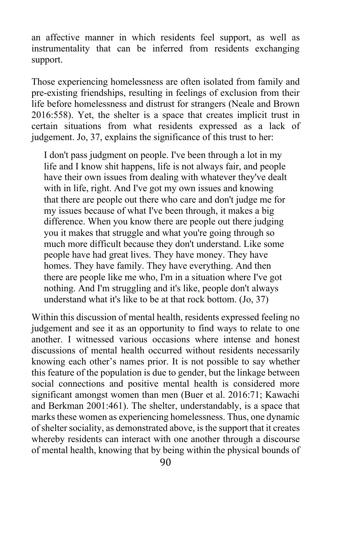an affective manner in which residents feel support, as well as instrumentality that can be inferred from residents exchanging support.

Those experiencing homelessness are often isolated from family and pre-existing friendships, resulting in feelings of exclusion from their life before homelessness and distrust for strangers (Neale and Brown 2016:558). Yet, the shelter is a space that creates implicit trust in certain situations from what residents expressed as a lack of judgement. Jo, 37, explains the significance of this trust to her:

I don't pass judgment on people. I've been through a lot in my life and I know shit happens, life is not always fair, and people have their own issues from dealing with whatever they've dealt with in life, right. And I've got my own issues and knowing that there are people out there who care and don't judge me for my issues because of what I've been through, it makes a big difference. When you know there are people out there judging you it makes that struggle and what you're going through so much more difficult because they don't understand. Like some people have had great lives. They have money. They have homes. They have family. They have everything. And then there are people like me who, I'm in a situation where I've got nothing. And I'm struggling and it's like, people don't always understand what it's like to be at that rock bottom. (Jo, 37)

Within this discussion of mental health, residents expressed feeling no judgement and see it as an opportunity to find ways to relate to one another. I witnessed various occasions where intense and honest discussions of mental health occurred without residents necessarily knowing each other's names prior. It is not possible to say whether this feature of the population is due to gender, but the linkage between social connections and positive mental health is considered more significant amongst women than men (Buer et al. 2016:71; Kawachi and Berkman 2001:461). The shelter, understandably, is a space that marks these women as experiencing homelessness. Thus, one dynamic of shelter sociality, as demonstrated above, is the support that it creates whereby residents can interact with one another through a discourse of mental health, knowing that by being within the physical bounds of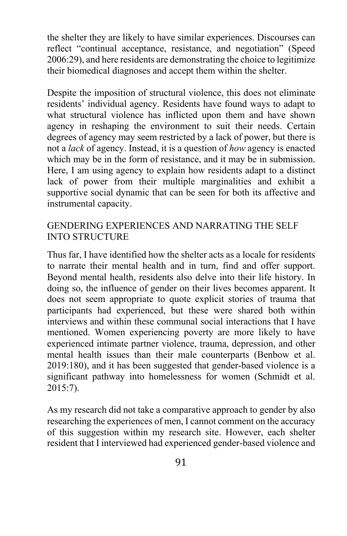the shelter they are likely to have similar experiences. Discourses can reflect "continual acceptance, resistance, and negotiation" (Speed 2006:29), and here residents are demonstrating the choice to legitimize their biomedical diagnoses and accept them within the shelter.

Despite the imposition of structural violence, this does not eliminate residents' individual agency. Residents have found ways to adapt to what structural violence has inflicted upon them and have shown agency in reshaping the environment to suit their needs. Certain degrees of agency may seem restricted by a lack of power, but there is not a *lack* of agency. Instead, it is a question of *how* agency is enacted which may be in the form of resistance, and it may be in submission. Here, I am using agency to explain how residents adapt to a distinct lack of power from their multiple marginalities and exhibit a supportive social dynamic that can be seen for both its affective and instrumental capacity.

### GENDERING EXPERIENCES AND NARRATING THE SELF INTO STRUCTURE

Thus far, I have identified how the shelter acts as a locale for residents to narrate their mental health and in turn, find and offer support. Beyond mental health, residents also delve into their life history. In doing so, the influence of gender on their lives becomes apparent. It does not seem appropriate to quote explicit stories of trauma that participants had experienced, but these were shared both within interviews and within these communal social interactions that I have mentioned. Women experiencing poverty are more likely to have experienced intimate partner violence, trauma, depression, and other mental health issues than their male counterparts (Benbow et al. 2019:180), and it has been suggested that gender-based violence is a significant pathway into homelessness for women (Schmidt et al. 2015:7).

As my research did not take a comparative approach to gender by also researching the experiences of men, I cannot comment on the accuracy of this suggestion within my research site. However, each shelter resident that I interviewed had experienced gender-based violence and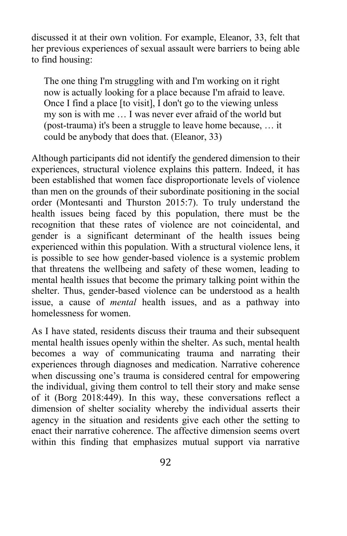discussed it at their own volition. For example, Eleanor, 33, felt that her previous experiences of sexual assault were barriers to being able to find housing:

The one thing I'm struggling with and I'm working on it right now is actually looking for a place because I'm afraid to leave. Once I find a place [to visit], I don't go to the viewing unless my son is with me … I was never ever afraid of the world but (post-trauma) it's been a struggle to leave home because, … it could be anybody that does that. (Eleanor, 33)

Although participants did not identify the gendered dimension to their experiences, structural violence explains this pattern. Indeed, it has been established that women face disproportionate levels of violence than men on the grounds of their subordinate positioning in the social order (Montesanti and Thurston 2015:7). To truly understand the health issues being faced by this population, there must be the recognition that these rates of violence are not coincidental, and gender is a significant determinant of the health issues being experienced within this population. With a structural violence lens, it is possible to see how gender-based violence is a systemic problem that threatens the wellbeing and safety of these women, leading to mental health issues that become the primary talking point within the shelter. Thus, gender-based violence can be understood as a health issue, a cause of *mental* health issues, and as a pathway into homelessness for women.

As I have stated, residents discuss their trauma and their subsequent mental health issues openly within the shelter. As such, mental health becomes a way of communicating trauma and narrating their experiences through diagnoses and medication. Narrative coherence when discussing one's trauma is considered central for empowering the individual, giving them control to tell their story and make sense of it (Borg 2018:449). In this way, these conversations reflect a dimension of shelter sociality whereby the individual asserts their agency in the situation and residents give each other the setting to enact their narrative coherence. The affective dimension seems overt within this finding that emphasizes mutual support via narrative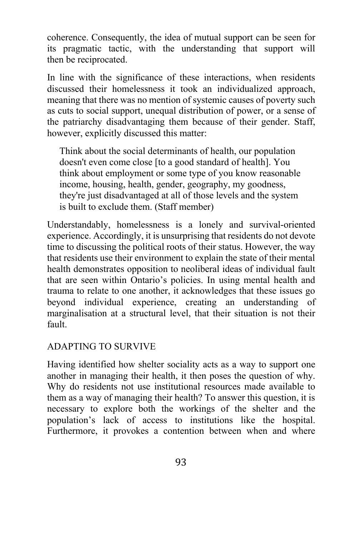coherence. Consequently, the idea of mutual support can be seen for its pragmatic tactic, with the understanding that support will then be reciprocated.

In line with the significance of these interactions, when residents discussed their homelessness it took an individualized approach, meaning that there was no mention of systemic causes of poverty such as cuts to social support, unequal distribution of power, or a sense of the patriarchy disadvantaging them because of their gender. Staff, however, explicitly discussed this matter:

Think about the social determinants of health, our population doesn't even come close [to a good standard of health]. You think about employment or some type of you know reasonable income, housing, health, gender, geography, my goodness, they're just disadvantaged at all of those levels and the system is built to exclude them. (Staff member)

Understandably, homelessness is a lonely and survival-oriented experience. Accordingly, it is unsurprising that residents do not devote time to discussing the political roots of their status. However, the way that residents use their environment to explain the state of their mental health demonstrates opposition to neoliberal ideas of individual fault that are seen within Ontario's policies. In using mental health and trauma to relate to one another, it acknowledges that these issues go beyond individual experience, creating an understanding of marginalisation at a structural level, that their situation is not their fault.

# ADAPTING TO SURVIVE

Having identified how shelter sociality acts as a way to support one another in managing their health, it then poses the question of why. Why do residents not use institutional resources made available to them as a way of managing their health? To answer this question, it is necessary to explore both the workings of the shelter and the population's lack of access to institutions like the hospital. Furthermore, it provokes a contention between when and where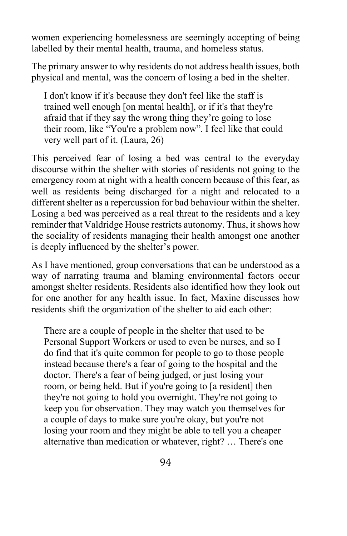women experiencing homelessness are seemingly accepting of being labelled by their mental health, trauma, and homeless status.

The primary answer to why residents do not address health issues, both physical and mental, was the concern of losing a bed in the shelter.

I don't know if it's because they don't feel like the staff is trained well enough [on mental health], or if it's that they're afraid that if they say the wrong thing they're going to lose their room, like "You're a problem now". I feel like that could very well part of it. (Laura, 26)

This perceived fear of losing a bed was central to the everyday discourse within the shelter with stories of residents not going to the emergency room at night with a health concern because of this fear, as well as residents being discharged for a night and relocated to a different shelter as a repercussion for bad behaviour within the shelter. Losing a bed was perceived as a real threat to the residents and a key reminder that Valdridge House restricts autonomy. Thus, it shows how the sociality of residents managing their health amongst one another is deeply influenced by the shelter's power.

As I have mentioned, group conversations that can be understood as a way of narrating trauma and blaming environmental factors occur amongst shelter residents. Residents also identified how they look out for one another for any health issue. In fact, Maxine discusses how residents shift the organization of the shelter to aid each other:

There are a couple of people in the shelter that used to be Personal Support Workers or used to even be nurses, and so I do find that it's quite common for people to go to those people instead because there's a fear of going to the hospital and the doctor. There's a fear of being judged, or just losing your room, or being held. But if you're going to [a resident] then they're not going to hold you overnight. They're not going to keep you for observation. They may watch you themselves for a couple of days to make sure you're okay, but you're not losing your room and they might be able to tell you a cheaper alternative than medication or whatever, right? … There's one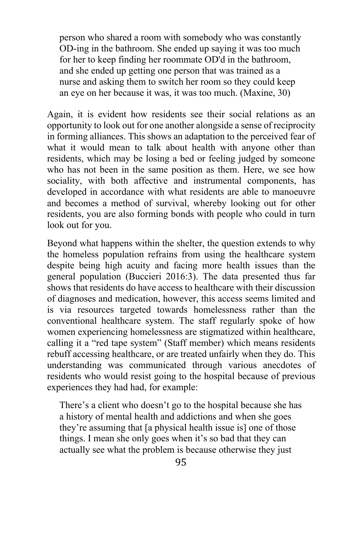person who shared a room with somebody who was constantly OD-ing in the bathroom. She ended up saying it was too much for her to keep finding her roommate OD'd in the bathroom, and she ended up getting one person that was trained as a nurse and asking them to switch her room so they could keep an eye on her because it was, it was too much. (Maxine, 30)

Again, it is evident how residents see their social relations as an opportunity to look out for one another alongside a sense of reciprocity in forming alliances. This shows an adaptation to the perceived fear of what it would mean to talk about health with anyone other than residents, which may be losing a bed or feeling judged by someone who has not been in the same position as them. Here, we see how sociality, with both affective and instrumental components, has developed in accordance with what residents are able to manoeuvre and becomes a method of survival, whereby looking out for other residents, you are also forming bonds with people who could in turn look out for you.

Beyond what happens within the shelter, the question extends to why the homeless population refrains from using the healthcare system despite being high acuity and facing more health issues than the general population (Buccieri 2016:3). The data presented thus far shows that residents do have access to healthcare with their discussion of diagnoses and medication, however, this access seems limited and is via resources targeted towards homelessness rather than the conventional healthcare system. The staff regularly spoke of how women experiencing homelessness are stigmatized within healthcare, calling it a "red tape system" (Staff member) which means residents rebuff accessing healthcare, or are treated unfairly when they do. This understanding was communicated through various anecdotes of residents who would resist going to the hospital because of previous experiences they had had, for example:

There's a client who doesn't go to the hospital because she has a history of mental health and addictions and when she goes they're assuming that [a physical health issue is] one of those things. I mean she only goes when it's so bad that they can actually see what the problem is because otherwise they just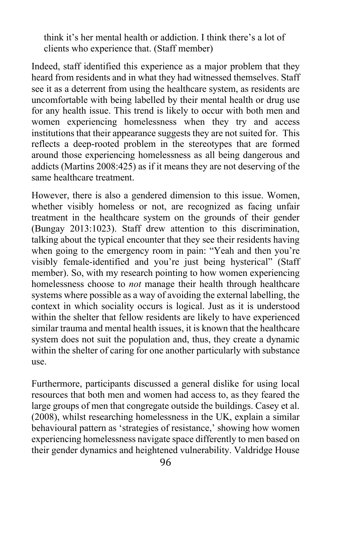think it's her mental health or addiction. I think there's a lot of clients who experience that. (Staff member)

Indeed, staff identified this experience as a major problem that they heard from residents and in what they had witnessed themselves. Staff see it as a deterrent from using the healthcare system, as residents are uncomfortable with being labelled by their mental health or drug use for any health issue. This trend is likely to occur with both men and women experiencing homelessness when they try and access institutions that their appearance suggests they are not suited for. This reflects a deep-rooted problem in the stereotypes that are formed around those experiencing homelessness as all being dangerous and addicts (Martins 2008:425) as if it means they are not deserving of the same healthcare treatment.

However, there is also a gendered dimension to this issue. Women, whether visibly homeless or not, are recognized as facing unfair treatment in the healthcare system on the grounds of their gender (Bungay 2013:1023). Staff drew attention to this discrimination, talking about the typical encounter that they see their residents having when going to the emergency room in pain: "Yeah and then you're visibly female-identified and you're just being hysterical" (Staff member). So, with my research pointing to how women experiencing homelessness choose to *not* manage their health through healthcare systems where possible as a way of avoiding the external labelling, the context in which sociality occurs is logical. Just as it is understood within the shelter that fellow residents are likely to have experienced similar trauma and mental health issues, it is known that the healthcare system does not suit the population and, thus, they create a dynamic within the shelter of caring for one another particularly with substance use.

Furthermore, participants discussed a general dislike for using local resources that both men and women had access to, as they feared the large groups of men that congregate outside the buildings. Casey et al. (2008), whilst researching homelessness in the UK, explain a similar behavioural pattern as 'strategies of resistance,' showing how women experiencing homelessness navigate space differently to men based on their gender dynamics and heightened vulnerability. Valdridge House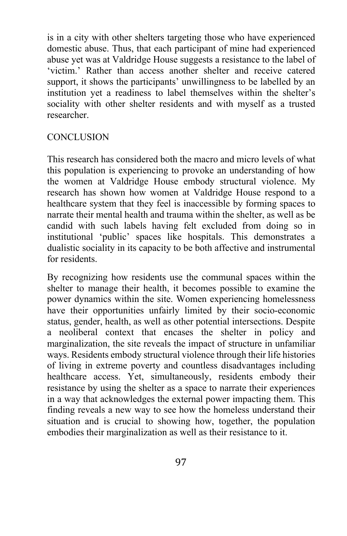is in a city with other shelters targeting those who have experienced domestic abuse. Thus, that each participant of mine had experienced abuse yet was at Valdridge House suggests a resistance to the label of 'victim.' Rather than access another shelter and receive catered support, it shows the participants' unwillingness to be labelled by an institution yet a readiness to label themselves within the shelter's sociality with other shelter residents and with myself as a trusted researcher.

### **CONCLUSION**

This research has considered both the macro and micro levels of what this population is experiencing to provoke an understanding of how the women at Valdridge House embody structural violence. My research has shown how women at Valdridge House respond to a healthcare system that they feel is inaccessible by forming spaces to narrate their mental health and trauma within the shelter, as well as be candid with such labels having felt excluded from doing so in institutional 'public' spaces like hospitals. This demonstrates a dualistic sociality in its capacity to be both affective and instrumental for residents.

By recognizing how residents use the communal spaces within the shelter to manage their health, it becomes possible to examine the power dynamics within the site. Women experiencing homelessness have their opportunities unfairly limited by their socio-economic status, gender, health, as well as other potential intersections. Despite a neoliberal context that encases the shelter in policy and marginalization, the site reveals the impact of structure in unfamiliar ways. Residents embody structural violence through their life histories of living in extreme poverty and countless disadvantages including healthcare access. Yet, simultaneously, residents embody their resistance by using the shelter as a space to narrate their experiences in a way that acknowledges the external power impacting them. This finding reveals a new way to see how the homeless understand their situation and is crucial to showing how, together, the population embodies their marginalization as well as their resistance to it.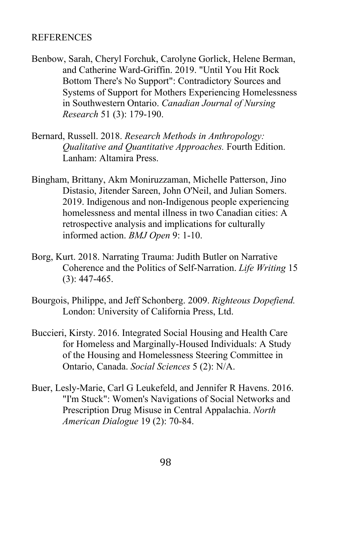#### **REFERENCES**

- Benbow, Sarah, Cheryl Forchuk, Carolyne Gorlick, Helene Berman, and Catherine Ward-Griffin. 2019. "Until You Hit Rock Bottom There's No Support": Contradictory Sources and Systems of Support for Mothers Experiencing Homelessness in Southwestern Ontario. *Canadian Journal of Nursing Research* 51 (3): 179-190.
- Bernard, Russell. 2018. *Research Methods in Anthropology: Qualitative and Quantitative Approaches.* Fourth Edition. Lanham: Altamira Press.
- Bingham, Brittany, Akm Moniruzzaman, Michelle Patterson, Jino Distasio, Jitender Sareen, John O'Neil, and Julian Somers. 2019. Indigenous and non-Indigenous people experiencing homelessness and mental illness in two Canadian cities: A retrospective analysis and implications for culturally informed action. *BMJ Open* 9: 1-10.
- Borg, Kurt. 2018. Narrating Trauma: Judith Butler on Narrative Coherence and the Politics of Self-Narration. *Life Writing* 15 (3): 447-465.
- Bourgois, Philippe, and Jeff Schonberg. 2009. *Righteous Dopefiend.* London: University of California Press, Ltd.
- Buccieri, Kirsty. 2016. Integrated Social Housing and Health Care for Homeless and Marginally-Housed Individuals: A Study of the Housing and Homelessness Steering Committee in Ontario, Canada. *Social Sciences* 5 (2): N/A.
- Buer, Lesly-Marie, Carl G Leukefeld, and Jennifer R Havens. 2016. "I'm Stuck": Women's Navigations of Social Networks and Prescription Drug Misuse in Central Appalachia. *North American Dialogue* 19 (2): 70-84.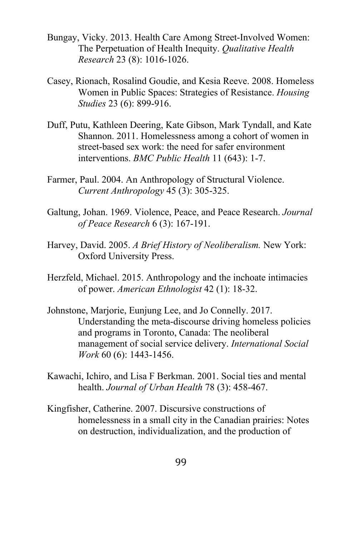- Bungay, Vicky. 2013. Health Care Among Street-Involved Women: The Perpetuation of Health Inequity. *Qualitative Health Research* 23 (8): 1016-1026.
- Casey, Rionach, Rosalind Goudie, and Kesia Reeve. 2008. Homeless Women in Public Spaces: Strategies of Resistance. *Housing Studies* 23 (6): 899-916.
- Duff, Putu, Kathleen Deering, Kate Gibson, Mark Tyndall, and Kate Shannon. 2011. Homelessness among a cohort of women in street-based sex work: the need for safer environment interventions. *BMC Public Health* 11 (643): 1-7.
- Farmer, Paul. 2004. An Anthropology of Structural Violence. *Current Anthropology* 45 (3): 305-325.
- Galtung, Johan. 1969. Violence, Peace, and Peace Research. *Journal of Peace Research* 6 (3): 167-191.
- Harvey, David. 2005. *A Brief History of Neoliberalism.* New York: Oxford University Press.
- Herzfeld, Michael. 2015. Anthropology and the inchoate intimacies of power. *American Ethnologist* 42 (1): 18-32.
- Johnstone, Marjorie, Eunjung Lee, and Jo Connelly. 2017. Understanding the meta-discourse driving homeless policies and programs in Toronto, Canada: The neoliberal management of social service delivery. *International Social Work* 60 (6): 1443-1456.
- Kawachi, Ichiro, and Lisa F Berkman. 2001. Social ties and mental health. *Journal of Urban Health* 78 (3): 458-467.
- Kingfisher, Catherine. 2007. Discursive constructions of homelessness in a small city in the Canadian prairies: Notes on destruction, individualization, and the production of